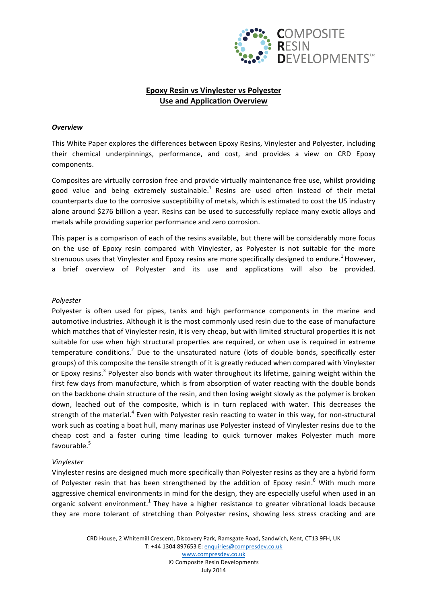

# **Epoxy Resin vs Vinylester vs Polyester Use and Application Overview**

#### *Overview*

This White Paper explores the differences between Epoxy Resins, Vinylester and Polyester, including their chemical underpinnings, performance, and cost, and provides a view on CRD Epoxy components.

Composites are virtually corrosion free and provide virtually maintenance free use, whilst providing good value and being extremely sustainable.<sup>1</sup> Resins are used often instead of their metal counterparts due to the corrosive susceptibility of metals, which is estimated to cost the US industry alone around \$276 billion a year. Resins can be used to successfully replace many exotic alloys and metals while providing superior performance and zero corrosion.

This paper is a comparison of each of the resins available, but there will be considerably more focus on the use of Epoxy resin compared with Vinylester, as Polyester is not suitable for the more strenuous uses that Vinylester and Epoxy resins are more specifically designed to endure.<sup>1</sup> However, a brief overview of Polyester and its use and applications will also be provided.

#### *Polyester*

Polyester is often used for pipes, tanks and high performance components in the marine and automotive industries. Although it is the most commonly used resin due to the ease of manufacture which matches that of Vinylester resin, it is very cheap, but with limited structural properties it is not suitable for use when high structural properties are required, or when use is required in extreme temperature conditions.<sup>2</sup> Due to the unsaturated nature (lots of double bonds, specifically ester groups) of this composite the tensile strength of it is greatly reduced when compared with Vinylester or Epoxy resins.<sup>3</sup> Polyester also bonds with water throughout its lifetime, gaining weight within the first few days from manufacture, which is from absorption of water reacting with the double bonds on the backbone chain structure of the resin, and then losing weight slowly as the polymer is broken down, leached out of the composite, which is in turn replaced with water. This decreases the strength of the material.<sup>4</sup> Even with Polyester resin reacting to water in this way, for non-structural work such as coating a boat hull, many marinas use Polyester instead of Vinylester resins due to the cheap cost and a faster curing time leading to quick turnover makes Polyester much more favourable.<sup>5</sup>

## *Vinylester*

Vinylester resins are designed much more specifically than Polyester resins as they are a hybrid form of Polyester resin that has been strengthened by the addition of Epoxy resin.<sup>6</sup> With much more aggressive chemical environments in mind for the design, they are especially useful when used in an organic solvent environment.<sup>1</sup> They have a higher resistance to greater vibrational loads because they are more tolerant of stretching than Polyester resins, showing less stress cracking and are

> CRD House, 2 Whitemill Crescent, Discovery Park, Ramsgate Road, Sandwich, Kent, CT13 9FH, UK T: +44 1304 897653 E: enquiries@compresdev.co.uk www.compresdev.co.uk © Composite Resin Developments July 2014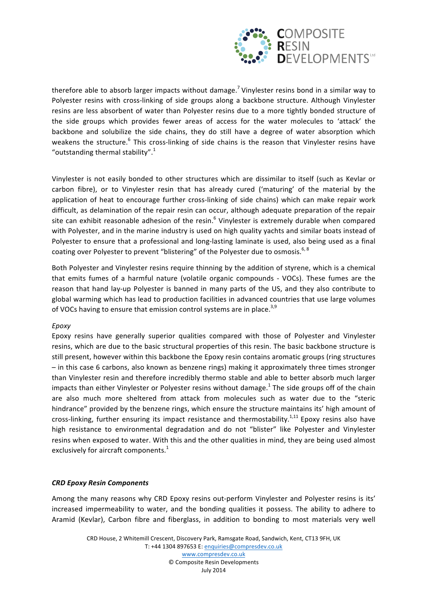

therefore able to absorb larger impacts without damage.<sup>7</sup> Vinylester resins bond in a similar way to Polyester resins with cross-linking of side groups along a backbone structure. Although Vinylester resins are less absorbent of water than Polyester resins due to a more tightly bonded structure of the side groups which provides fewer areas of access for the water molecules to 'attack' the backbone and solubilize the side chains, they do still have a degree of water absorption which weakens the structure.<sup>6</sup> This cross-linking of side chains is the reason that Vinylester resins have "outstanding thermal stability". $1$ 

Vinylester is not easily bonded to other structures which are dissimilar to itself (such as Kevlar or carbon fibre), or to Vinylester resin that has already cured ('maturing' of the material by the application of heat to encourage further cross-linking of side chains) which can make repair work difficult, as delamination of the repair resin can occur, although adequate preparation of the repair site can exhibit reasonable adhesion of the resin.<sup>6</sup> Vinylester is extremely durable when compared with Polyester, and in the marine industry is used on high quality yachts and similar boats instead of Polyester to ensure that a professional and long-lasting laminate is used, also being used as a final coating over Polyester to prevent "blistering" of the Polyester due to osmosis.<sup>6, 8</sup>

Both Polyester and Vinylester resins require thinning by the addition of styrene, which is a chemical that emits fumes of a harmful nature (volatile organic compounds - VOCs). These fumes are the reason that hand lay-up Polyester is banned in many parts of the US, and they also contribute to global warming which has lead to production facilities in advanced countries that use large volumes of VOCs having to ensure that emission control systems are in place.<sup>3,9</sup>

## *Epoxy*

Epoxy resins have generally superior qualities compared with those of Polyester and Vinylester resins, which are due to the basic structural properties of this resin. The basic backbone structure is still present, however within this backbone the Epoxy resin contains aromatic groups (ring structures  $-$  in this case 6 carbons, also known as benzene rings) making it approximately three times stronger than Vinylester resin and therefore incredibly thermo stable and able to better absorb much larger impacts than either Vinylester or Polyester resins without damage.<sup>1</sup> The side groups off of the chain are also much more sheltered from attack from molecules such as water due to the "steric hindrance" provided by the benzene rings, which ensure the structure maintains its' high amount of cross-linking, further ensuring its impact resistance and thermostability.<sup>1,11</sup> Epoxy resins also have high resistance to environmental degradation and do not "blister" like Polyester and Vinylester resins when exposed to water. With this and the other qualities in mind, they are being used almost exclusively for aircraft components.<sup>1</sup>

## *CRD Epoxy Resin Components*

Among the many reasons why CRD Epoxy resins out-perform Vinylester and Polyester resins is its' increased impermeability to water, and the bonding qualities it possess. The ability to adhere to Aramid (Kevlar), Carbon fibre and fiberglass, in addition to bonding to most materials very well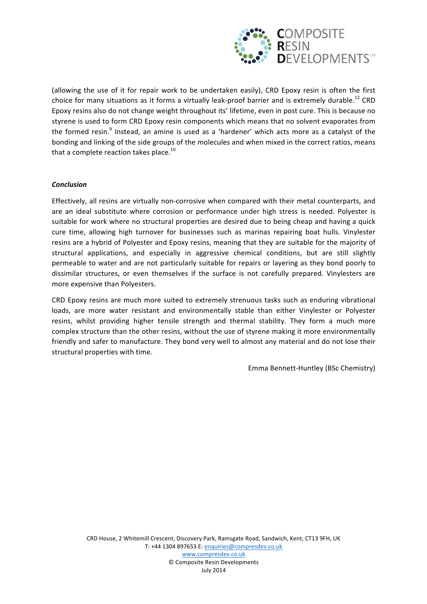

(allowing the use of it for repair work to be undertaken easily), CRD Epoxy resin is often the first choice for many situations as it forms a virtually leak-proof barrier and is extremely durable.<sup>12</sup> CRD Epoxy resins also do not change weight throughout its' lifetime, even in post cure. This is because no styrene is used to form CRD Epoxy resin components which means that no solvent evaporates from the formed resin.<sup>9</sup> Instead, an amine is used as a 'hardener' which acts more as a catalyst of the bonding and linking of the side groups of the molecules and when mixed in the correct ratios, means that a complete reaction takes place. $^{10}$ 

## *Conclusion*

Effectively, all resins are virtually non-corrosive when compared with their metal counterparts, and are an ideal substitute where corrosion or performance under high stress is needed. Polyester is suitable for work where no structural properties are desired due to being cheap and having a quick cure time, allowing high turnover for businesses such as marinas repairing boat hulls. Vinylester resins are a hybrid of Polyester and Epoxy resins, meaning that they are suitable for the majority of structural applications, and especially in aggressive chemical conditions, but are still slightly permeable to water and are not particularly suitable for repairs or layering as they bond poorly to dissimilar structures, or even themselves if the surface is not carefully prepared. Vinylesters are more expensive than Polyesters.

CRD Epoxy resins are much more suited to extremely strenuous tasks such as enduring vibrational loads, are more water resistant and environmentally stable than either Vinylester or Polyester resins, whilst providing higher tensile strength and thermal stability. They form a much more complex structure than the other resins, without the use of styrene making it more environmentally friendly and safer to manufacture. They bond very well to almost any material and do not lose their structural properties with time.

Emma Bennett-Huntley (BSc Chemistry)